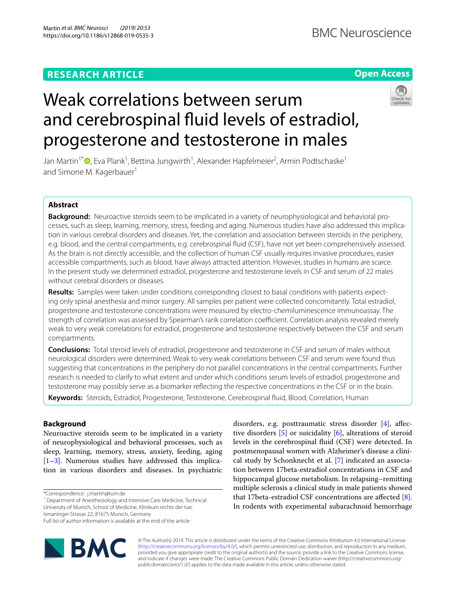## **RESEARCH ARTICLE**

## **Open Access**



# Weak correlations between serum and cerebrospinal fluid levels of estradiol, progesterone and testosterone in males

Jan Martin<sup>1\*</sup>®[,](http://orcid.org/0000-0001-8838-0834) Eva Plank<sup>1</sup>, Bettina Jungwirth<sup>1</sup>, Alexander Hapfelmeier<sup>2</sup>, Armin Podtschaske<sup>1</sup> and Simone M. Kagerbauer<sup>1</sup>

## **Abstract**

**Background:** Neuroactive steroids seem to be implicated in a variety of neurophysiological and behavioral processes, such as sleep, learning, memory, stress, feeding and aging. Numerous studies have also addressed this implication in various cerebral disorders and diseases. Yet, the correlation and association between steroids in the periphery, e.g. blood, and the central compartments, e.g. cerebrospinal fuid (CSF), have not yet been comprehensively assessed. As the brain is not directly accessible, and the collection of human CSF usually requires invasive procedures, easier accessible compartments, such as blood, have always attracted attention. However, studies in humans are scarce. In the present study we determined estradiol, progesterone and testosterone levels in CSF and serum of 22 males without cerebral disorders or diseases.

**Results:** Samples were taken under conditions corresponding closest to basal conditions with patients expecting only spinal anesthesia and minor surgery. All samples per patient were collected concomitantly. Total estradiol, progesterone and testosterone concentrations were measured by electro-chemiluminescence immunoassay. The strength of correlation was assessed by Spearman's rank correlation coefficient. Correlation analysis revealed merely weak to very weak correlations for estradiol, progesterone and testosterone respectively between the CSF and serum compartments.

**Conclusions:** Total steroid levels of estradiol, progesterone and testosterone in CSF and serum of males without neurological disorders were determined. Weak to very weak correlations between CSF and serum were found thus suggesting that concentrations in the periphery do not parallel concentrations in the central compartments. Further research is needed to clarify to what extent and under which conditions serum levels of estradiol, progesterone and testosterone may possibly serve as a biomarker refecting the respective concentrations in the CSF or in the brain.

**Keywords:** Steroids, Estradiol, Progesterone, Testosterone, Cerebrospinal fuid, Blood, Correlation, Human

## **Background**

Neuroactive steroids seem to be implicated in a variety of neurophysiological and behavioral processes, such as sleep, learning, memory, stress, anxiety, feeding, aging [[1–](#page-5-0)[3\]](#page-5-1). Numerous studies have addressed this implication in various disorders and diseases. In psychiatric

<sup>1</sup> Department of Anesthesiology and Intensive Care Medicine, Technical University of Munich, School of Medicine, Klinikum rechts der Isar, Ismaninger Strasse 22, 81675 Munich, Germany

Full list of author information is available at the end of the article



disorders, e.g. posttraumatic stress disorder [[4\]](#page-5-2), afective disorders [\[5](#page-5-3)] or suicidality [\[6\]](#page-5-4), alterations of steroid levels in the cerebrospinal fuid (CSF) were detected. In postmenopausal women with Alzheimer's disease a clinical study by Schonknecht et al. [\[7](#page-5-5)] indicated an association between 17beta-estradiol concentrations in CSF and hippocampal glucose metabolism. In relapsing–remitting multiple sclerosis a clinical study in male patients showed that 17beta-estradiol CSF concentrations are afected [\[8](#page-5-6)]. In rodents with experimental subarachnoid hemorrhage

© The Author(s) 2019. This article is distributed under the terms of the Creative Commons Attribution 4.0 International License [\(http://creativecommons.org/licenses/by/4.0/\)](http://creativecommons.org/licenses/by/4.0/), which permits unrestricted use, distribution, and reproduction in any medium, provided you give appropriate credit to the original author(s) and the source, provide a link to the Creative Commons license, and indicate if changes were made. The Creative Commons Public Domain Dedication waiver (http://creativecommons.org/ publicdomain/zero/1.0/) applies to the data made available in this article, unless otherwise stated.

<sup>\*</sup>Correspondence: j.martin@tum.de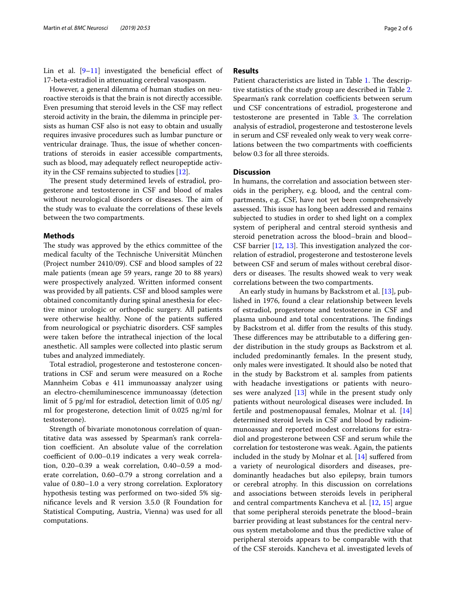Lin et al.  $[9-11]$  $[9-11]$  investigated the beneficial effect of 17-beta-estradiol in attenuating cerebral vasospasm.

However, a general dilemma of human studies on neuroactive steroids is that the brain is not directly accessible. Even presuming that steroid levels in the CSF may refect steroid activity in the brain, the dilemma in principle persists as human CSF also is not easy to obtain and usually requires invasive procedures such as lumbar puncture or ventricular drainage. Thus, the issue of whether concentrations of steroids in easier accessible compartments, such as blood, may adequately reflect neuropeptide activity in the CSF remains subjected to studies [\[12\]](#page-5-9).

The present study determined levels of estradiol, progesterone and testosterone in CSF and blood of males without neurological disorders or diseases. The aim of the study was to evaluate the correlations of these levels between the two compartments.

### **Methods**

The study was approved by the ethics committee of the medical faculty of the Technische Universität München (Project number 2410/09). CSF and blood samples of 22 male patients (mean age 59 years, range 20 to 88 years) were prospectively analyzed. Written informed consent was provided by all patients. CSF and blood samples were obtained concomitantly during spinal anesthesia for elective minor urologic or orthopedic surgery. All patients were otherwise healthy. None of the patients sufered from neurological or psychiatric disorders. CSF samples were taken before the intrathecal injection of the local anesthetic. All samples were collected into plastic serum tubes and analyzed immediately.

Total estradiol, progesterone and testosterone concentrations in CSF and serum were measured on a Roche Mannheim Cobas e 411 immunoassay analyzer using an electro-chemiluminescence immunoassay (detection limit of 5 pg/ml for estradiol, detection limit of 0.05 ng/ ml for progesterone, detection limit of 0.025 ng/ml for testosterone).

Strength of bivariate monotonous correlation of quantitative data was assessed by Spearman's rank correlation coefficient. An absolute value of the correlation coefficient of 0.00–0.19 indicates a very weak correlation, 0.20–0.39 a weak correlation, 0.40–0.59 a moderate correlation, 0.60–0.79 a strong correlation and a value of 0.80–1.0 a very strong correlation. Exploratory hypothesis testing was performed on two-sided 5% signifcance levels and R version 3.5.0 (R Foundation for Statistical Computing, Austria, Vienna) was used for all computations.

## **Results**

Patient characteristics are listed in Table [1](#page-2-0). The descriptive statistics of the study group are described in Table [2](#page-2-1). Spearman's rank correlation coefficients between serum und CSF concentrations of estradiol, progesterone and testosterone are presented in Table  $3$ . The correlation analysis of estradiol, progesterone and testosterone levels in serum and CSF revealed only weak to very weak correlations between the two compartments with coefficients below 0.3 for all three steroids.

## **Discussion**

In humans, the correlation and association between steroids in the periphery, e.g. blood, and the central compartments, e.g. CSF, have not yet been comprehensively assessed. This issue has long been addressed and remains subjected to studies in order to shed light on a complex system of peripheral and central steroid synthesis and steroid penetration across the blood–brain and blood– CSF barrier  $[12, 13]$  $[12, 13]$  $[12, 13]$  $[12, 13]$ . This investigation analyzed the correlation of estradiol, progesterone and testosterone levels between CSF and serum of males without cerebral disorders or diseases. The results showed weak to very weak correlations between the two compartments.

An early study in humans by Backstrom et al. [[13\]](#page-5-10), published in 1976, found a clear relationship between levels of estradiol, progesterone and testosterone in CSF and plasma unbound and total concentrations. The findings by Backstrom et al. difer from the results of this study. These differences may be attributable to a differing gender distribution in the study groups as Backstrom et al. included predominantly females. In the present study, only males were investigated. It should also be noted that in the study by Backstrom et al. samples from patients with headache investigations or patients with neuroses were analyzed [[13\]](#page-5-10) while in the present study only patients without neurological diseases were included. In fertile and postmenopausal females, Molnar et al. [[14](#page-5-11)] determined steroid levels in CSF and blood by radioimmunoassay and reported modest correlations for estradiol and progesterone between CSF and serum while the correlation for testosterone was weak. Again, the patients included in the study by Molnar et al. [[14\]](#page-5-11) sufered from a variety of neurological disorders and diseases, predominantly headaches but also epilepsy, brain tumors or cerebral atrophy. In this discussion on correlations and associations between steroids levels in peripheral and central compartments Kancheva et al. [\[12,](#page-5-9) [15\]](#page-5-12) argue that some peripheral steroids penetrate the blood–brain barrier providing at least substances for the central nervous system metabolome and thus the predictive value of peripheral steroids appears to be comparable with that of the CSF steroids. Kancheva et al. investigated levels of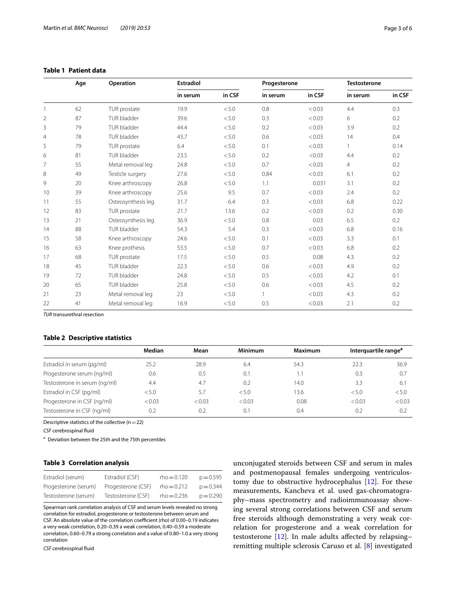## <span id="page-2-0"></span>**Table 1 Patient data**

|                | Age | Operation          | <b>Estradiol</b> |        | Progesterone |        | <b>Testosterone</b> |        |
|----------------|-----|--------------------|------------------|--------|--------------|--------|---------------------|--------|
|                |     |                    | in serum         | in CSF | in serum     | in CSF | in serum            | in CSF |
| 1              | 62  | TUR prostate       | 19.9             | < 5.0  | 0.8          | < 0.03 | 4.4                 | 0.3    |
| $\overline{2}$ | 87  | TUR bladder        | 39.6             | < 5.0  | 0.3          | < 0.03 | 6                   | 0.2    |
| 3              | 79  | TUR bladder        | 44.4             | < 5.0  | 0.2          | < 0.03 | 3.9                 | 0.2    |
| $\overline{4}$ | 78  | TUR bladder        | 43.7             | < 5.0  | 0.6          | < 0.03 | 14                  | 0.4    |
| 5              | 79  | TUR prostate       | 6.4              | < 5.0  | 0.1          | < 0.03 |                     | 0.14   |
| 6              | 81  | TUR bladder        | 23.5             | < 5.0  | 0.2          | < 0.03 | 4.4                 | 0.2    |
| 7              | 55  | Metal removal leg  | 24.8             | < 5.0  | 0.7          | < 0.03 | $\overline{4}$      | 0.2    |
| 8              | 49  | Testicle surgery   | 27.6             | < 5.0  | 0.84         | < 0.03 | 6.1                 | 0.2    |
| 9              | 20  | Knee arthroscopy   | 26.8             | < 5.0  | 1.1          | 0.031  | 3.1                 | 0.2    |
| 10             | 39  | Knee arthroscopy   | 25.6             | 9.5    | 0.7          | < 0.03 | 2.4                 | 0.2    |
| 11             | 55  | Osteosynthesis leg | 31.7             | 6.4    | 0.3          | < 0.03 | 6.8                 | 0.22   |
| 12             | 83  | TUR prostate       | 21.7             | 13.6   | 0.2          | < 0.03 | 0.2                 | 0.30   |
| 13             | 21  | Osteosynthesis leg | 36.9             | < 5.0  | 0.8          | 0.03   | 6.5                 | 0.2    |
| 14             | 88  | TUR bladder        | 54.3             | 5.4    | 0.3          | < 0.03 | 6.8                 | 0.16   |
| 15             | 58  | Knee arthroscopy   | 24.6             | < 5.0  | 0.1          | < 0.03 | 3.3                 | 0.1    |
| 16             | 63  | Knee prothesis     | 53.5             | < 5.0  | 0.7          | < 0.03 | 6.8                 | 0.2    |
| 17             | 68  | TUR prostate       | 17.5             | < 5.0  | 0.5          | 0.08   | 4.3                 | 0.2    |
| 18             | 45  | TUR bladder        | 22.3             | < 5.0  | 0.6          | < 0.03 | 4.9                 | 0.2    |
| 19             | 72  | TUR bladder        | 24.8             | < 5.0  | 0.5          | < 0.03 | 4.2                 | 0.1    |
| 20             | 65  | TUR bladder        | 25.8             | < 5.0  | 0.6          | < 0.03 | 4.5                 | 0.2    |
| 21             | 23  | Metal removal leg  | 23               | < 5.0  |              | < 0.03 | 4.3                 | 0.2    |
| 22             | 41  | Metal removal leg  | 16.9             | < 5.0  | 0.5          | < 0.03 | 2.1                 | 0.2    |

*TUR* transurethral resection

## <span id="page-2-1"></span>**Table 2 Descriptive statistics**

|                               | Median | Mean   | <b>Minimum</b> | Maximum | Interguartile range <sup>a</sup> |        |
|-------------------------------|--------|--------|----------------|---------|----------------------------------|--------|
| Estradiol in serum (pg/ml)    | 25.2   | 28.9   | 6.4            | 54.3    | 22.3                             | 36.9   |
| Progesterone serum (ng/ml)    | 0.6    | 0.5    | 0.1            | 1.1     | 0.3                              | 0.7    |
| Testosterone in serum (ng/ml) | 4.4    | 4.7    | 0.2            | 14.0    | 3.3                              | 6.     |
| Estradiol in CSF (pg/ml)      | < 5.0  | 5.7    | < 5.0          | 13.6    | < 5.0                            | < 5.0  |
| Progesterone in CSF (ng/ml)   | < 0.03 | < 0.03 | < 0.03         | 0.08    | < 0.03                           | < 0.03 |
| Testosterone in CSF (ng/ml)   | 0.2    | 0.2    | 0.1            | 0.4     | 0.2                              | 0.2    |

Descriptive statistics of the collective ( $n=22$ )

*CSF* cerebrospinal fuid

<sup>a</sup> Deviation between the 25th and the 75th percentiles

## <span id="page-2-2"></span>**Table 3 Correlation analysis**

| Estradiol (CSF)    | $rho = 0.120$ | $p = 0.595$ |
|--------------------|---------------|-------------|
| Progesterone (CSF) | $rho = 0.212$ | $p = 0.344$ |
| Testosterone (CSF) | $rho = 0.236$ | $p = 0.290$ |
|                    |               |             |

Spearman rank correlation analysis of CSF and serum levels revealed no strong correlation for estradiol, progesterone or testosterone between serum and CSF. An absolute value of the correlation coefficient (rho) of 0.00-0.19 indicates a very weak correlation, 0.20–0.39 a weak correlation, 0.40–0.59 a moderate correlation, 0.60–0.79 a strong correlation and a value of 0.80–1.0 a very strong correlation

*CSF* cerebrospinal fuid

unconjugated steroids between CSF and serum in males and postmenopausal females undergoing ventriculostomy due to obstructive hydrocephalus [[12](#page-5-9)]. For these measurements, Kancheva et al. used gas-chromatography–mass spectrometry and radioimmunoassay showing several strong correlations between CSF and serum free steroids although demonstrating a very weak correlation for progesterone and a weak correlation for testosterone [[12\]](#page-5-9). In male adults afected by relapsing– remitting multiple sclerosis Caruso et al. [[8\]](#page-5-6) investigated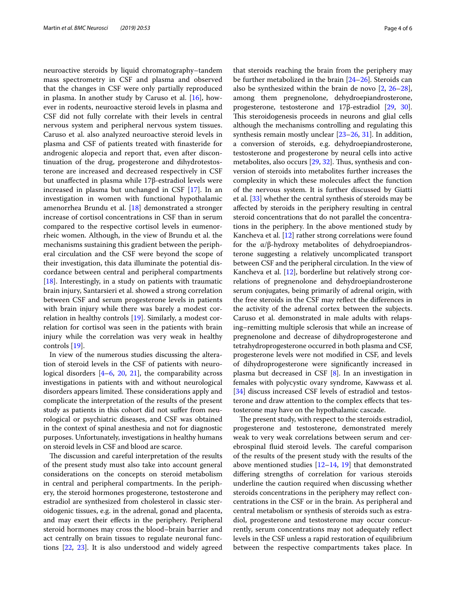neuroactive steroids by liquid chromatography–tandem mass spectrometry in CSF and plasma and observed that the changes in CSF were only partially reproduced in plasma. In another study by Caruso et al.  $[16]$  $[16]$  $[16]$ , however in rodents, neuroactive steroid levels in plasma and CSF did not fully correlate with their levels in central nervous system and peripheral nervous system tissues. Caruso et al. also analyzed neuroactive steroid levels in plasma and CSF of patients treated with fnasteride for androgenic alopecia and report that, even after discontinuation of the drug, progesterone and dihydrotestosterone are increased and decreased respectively in CSF but unafected in plasma while 17β-estradiol levels were increased in plasma but unchanged in CSF [\[17](#page-5-14)]. In an investigation in women with functional hypothalamic amenorrhea Brundu et al. [[18](#page-5-15)] demonstrated a stronger increase of cortisol concentrations in CSF than in serum compared to the respective cortisol levels in eumenorrheic women. Although, in the view of Brundu et al. the mechanisms sustaining this gradient between the peripheral circulation and the CSF were beyond the scope of their investigation, this data illuminate the potential discordance between central and peripheral compartments [[18\]](#page-5-15). Interestingly, in a study on patients with traumatic brain injury, Santarsieri et al. showed a strong correlation between CSF and serum progesterone levels in patients with brain injury while there was barely a modest correlation in healthy controls [\[19](#page-5-16)]. Similarly, a modest correlation for cortisol was seen in the patients with brain injury while the correlation was very weak in healthy controls [[19](#page-5-16)].

In view of the numerous studies discussing the alteration of steroid levels in the CSF of patients with neurological disorders [[4–](#page-5-2)[6](#page-5-4), [20](#page-5-17), [21](#page-5-18)], the comparability across investigations in patients with and without neurological disorders appears limited. These considerations apply and complicate the interpretation of the results of the present study as patients in this cohort did not sufer from neurological or psychiatric diseases, and CSF was obtained in the context of spinal anesthesia and not for diagnostic purposes. Unfortunately, investigations in healthy humans on steroid levels in CSF and blood are scarce.

The discussion and careful interpretation of the results of the present study must also take into account general considerations on the concepts on steroid metabolism in central and peripheral compartments. In the periphery, the steroid hormones progesterone, testosterone and estradiol are synthesized from cholesterol in classic steroidogenic tissues, e.g. in the adrenal, gonad and placenta, and may exert their effects in the periphery. Peripheral steroid hormones may cross the blood–brain barrier and act centrally on brain tissues to regulate neuronal functions [\[22](#page-5-19), [23](#page-5-20)]. It is also understood and widely agreed that steroids reaching the brain from the periphery may be further metabolized in the brain [\[24–](#page-5-21)[26](#page-5-22)]. Steroids can also be synthesized within the brain de novo [\[2](#page-5-23), [26](#page-5-22)[–28](#page-5-24)], among them pregnenolone, dehydroepiandrosterone, progesterone, testosterone and 17β-estradiol [\[29](#page-5-25), [30](#page-5-26)]. This steroidogenesis proceeds in neurons and glial cells although the mechanisms controlling and regulating this synthesis remain mostly unclear [\[23](#page-5-20)[–26,](#page-5-22) [31\]](#page-5-27). In addition, a conversion of steroids, e.g. dehydroepiandrosterone, testosterone and progesterone by neural cells into active metabolites, also occurs [\[29,](#page-5-25) [32](#page-5-28)]. Thus, synthesis and conversion of steroids into metabolites further increases the complexity in which these molecules afect the function of the nervous system. It is further discussed by Giatti et al. [\[33](#page-5-29)] whether the central synthesis of steroids may be afected by steroids in the periphery resulting in central steroid concentrations that do not parallel the concentrations in the periphery. In the above mentioned study by Kancheva et al. [[12](#page-5-9)] rather strong correlations were found for the α/β-hydroxy metabolites of dehydroepiandrosterone suggesting a relatively uncomplicated transport between CSF and the peripheral circulation. In the view of Kancheva et al. [[12](#page-5-9)], borderline but relatively strong correlations of pregnenolone and dehydroepiandrosterone serum conjugates, being primarily of adrenal origin, with the free steroids in the CSF may refect the diferences in the activity of the adrenal cortex between the subjects. Caruso et al. demonstrated in male adults with relapsing–remitting multiple sclerosis that while an increase of pregnenolone and decrease of dihydroprogesterone and tetrahydroprogesterone occurred in both plasma and CSF, progesterone levels were not modifed in CSF, and levels of dihydroprogesterone were signifcantly increased in plasma but decreased in CSF [[8\]](#page-5-6). In an investigation in females with polycystic ovary syndrome, Kawwass et al. [[34\]](#page-5-30) discuss increased CSF levels of estradiol and testosterone and draw attention to the complex efects that testosterone may have on the hypothalamic cascade.

The present study, with respect to the steroids estradiol, progesterone and testosterone, demonstrated merely weak to very weak correlations between serum and cerebrospinal fluid steroid levels. The careful comparison of the results of the present study with the results of the above mentioned studies  $[12-14, 19]$  $[12-14, 19]$  $[12-14, 19]$  $[12-14, 19]$  that demonstrated difering strengths of correlation for various steroids underline the caution required when discussing whether steroids concentrations in the periphery may reflect concentrations in the CSF or in the brain. As peripheral and central metabolism or synthesis of steroids such as estradiol, progesterone and testosterone may occur concurrently, serum concentrations may not adequately refect levels in the CSF unless a rapid restoration of equilibrium between the respective compartments takes place. In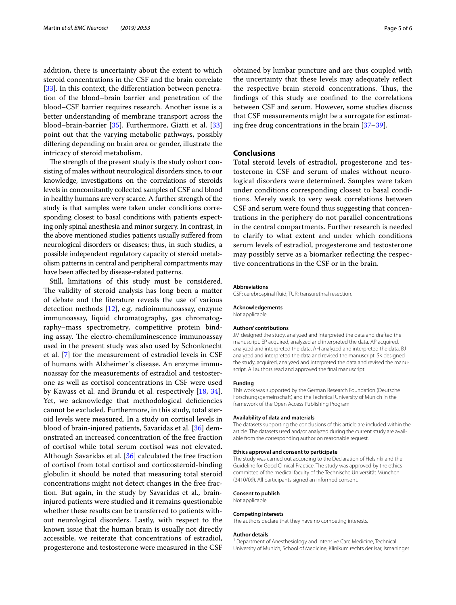addition, there is uncertainty about the extent to which steroid concentrations in the CSF and the brain correlate [[33\]](#page-5-29). In this context, the differentiation between penetration of the blood–brain barrier and penetration of the blood–CSF barrier requires research. Another issue is a better understanding of membrane transport across the blood–brain-barrier [\[35\]](#page-5-31). Furthermore, Giatti et al. [[33](#page-5-29)] point out that the varying metabolic pathways, possibly difering depending on brain area or gender, illustrate the intricacy of steroid metabolism.

The strength of the present study is the study cohort consisting of males without neurological disorders since, to our knowledge, investigations on the correlations of steroids levels in concomitantly collected samples of CSF and blood in healthy humans are very scarce. A further strength of the study is that samples were taken under conditions corresponding closest to basal conditions with patients expecting only spinal anesthesia and minor surgery. In contrast, in the above mentioned studies patients usually sufered from neurological disorders or diseases; thus, in such studies, a possible independent regulatory capacity of steroid metabolism patterns in central and peripheral compartments may have been afected by disease-related patterns.

Still, limitations of this study must be considered. The validity of steroid analysis has long been a matter of debate and the literature reveals the use of various detection methods [[12\]](#page-5-9), e.g. radioimmunoassay, enzyme immunoassay, liquid chromatography, gas chromatography–mass spectrometry, competitive protein binding assay. The electro-chemiluminescence immunoassay used in the present study was also used by Schonknecht et al. [[7\]](#page-5-5) for the measurement of estradiol levels in CSF of humans with Alzheimer`s disease. An enzyme immunoassay for the measurements of estradiol and testosterone as well as cortisol concentrations in CSF were used by Kawass et al. and Brundu et al. respectively [[18,](#page-5-15) [34](#page-5-30)]. Yet, we acknowledge that methodological deficiencies cannot be excluded. Furthermore, in this study, total steroid levels were measured. In a study on cortisol levels in blood of brain-injured patients, Savaridas et al. [[36](#page-5-32)] demonstrated an increased concentration of the free fraction of cortisol while total serum cortisol was not elevated. Although Savaridas et al. [[36\]](#page-5-32) calculated the free fraction of cortisol from total cortisol and corticosteroid-binding globulin it should be noted that measuring total steroid concentrations might not detect changes in the free fraction. But again, in the study by Savaridas et al., braininjured patients were studied and it remains questionable whether these results can be transferred to patients without neurological disorders. Lastly, with respect to the known issue that the human brain is usually not directly accessible, we reiterate that concentrations of estradiol, progesterone and testosterone were measured in the CSF

obtained by lumbar puncture and are thus coupled with the uncertainty that these levels may adequately refect the respective brain steroid concentrations. Tus, the fndings of this study are confned to the correlations between CSF and serum. However, some studies discuss that CSF measurements might be a surrogate for estimating free drug concentrations in the brain [\[37–](#page-5-33)[39\]](#page-5-34).

## **Conclusions**

Total steroid levels of estradiol, progesterone and testosterone in CSF and serum of males without neurological disorders were determined. Samples were taken under conditions corresponding closest to basal conditions. Merely weak to very weak correlations between CSF and serum were found thus suggesting that concentrations in the periphery do not parallel concentrations in the central compartments. Further research is needed to clarify to what extent and under which conditions serum levels of estradiol, progesterone and testosterone may possibly serve as a biomarker refecting the respective concentrations in the CSF or in the brain.

#### **Abbreviations**

CSF: cerebrospinal fuid; TUR: transurethral resection.

#### **Acknowledgements**

Not applicable.

#### **Authors' contributions**

JM designed the study, analyzed and interpreted the data and drafted the manuscript. EP acquired, analyzed and interpreted the data. AP acquired, analyzed and interpreted the data. AH analyzed and interpreted the data. BJ analyzed and interpreted the data and revised the manuscript. SK designed the study, acquired, analyzed and interpreted the data and revised the manuscript. All authors read and approved the fnal manuscript.

#### **Funding**

This work was supported by the German Research Foundation (Deutsche Forschungsgemeinschaft) and the Technical University of Munich in the framework of the Open Access Publishing Program.

#### **Availability of data and materials**

The datasets supporting the conclusions of this article are included within the article. The datasets used and/or analyzed during the current study are available from the corresponding author on reasonable request.

#### **Ethics approval and consent to participate**

The study was carried out according to the Declaration of Helsinki and the Guideline for Good Clinical Practice. The study was approved by the ethics committee of the medical faculty of the Technische Universität München (2410/09). All participants signed an informed consent.

#### **Consent to publish**

Not applicable.

#### **Competing interests**

The authors declare that they have no competing interests.

#### **Author details**

<sup>1</sup> Department of Anesthesiology and Intensive Care Medicine, Technical University of Munich, School of Medicine, Klinikum rechts der Isar, Ismaninger